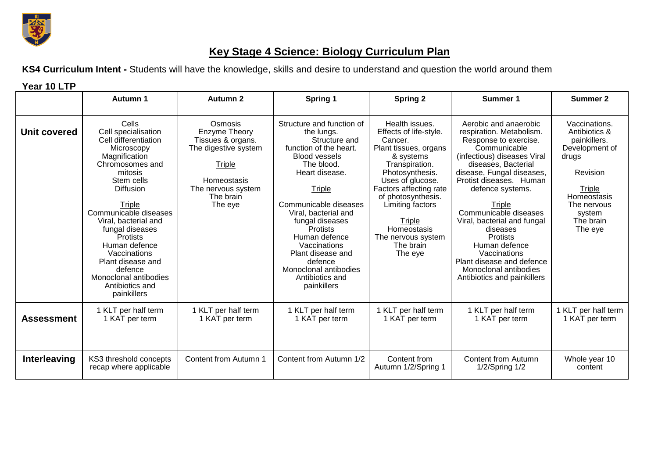

## **Key Stage 4 Science: Biology Curriculum Plan**

**KS4 Curriculum Intent -** Students will have the knowledge, skills and desire to understand and question the world around them

| Year 10 LTP       |                                                                                                                                                                                                                                                                                                                                                                           |                                                                                                                                              |                                                                                                                                                                                                                                                                                                                                                                                |                                                                                                                                                                                                                                                                                               |                                                                                                                                                                                                                                                                                                                                                                                                                                                     |                                                                                                                                                                        |
|-------------------|---------------------------------------------------------------------------------------------------------------------------------------------------------------------------------------------------------------------------------------------------------------------------------------------------------------------------------------------------------------------------|----------------------------------------------------------------------------------------------------------------------------------------------|--------------------------------------------------------------------------------------------------------------------------------------------------------------------------------------------------------------------------------------------------------------------------------------------------------------------------------------------------------------------------------|-----------------------------------------------------------------------------------------------------------------------------------------------------------------------------------------------------------------------------------------------------------------------------------------------|-----------------------------------------------------------------------------------------------------------------------------------------------------------------------------------------------------------------------------------------------------------------------------------------------------------------------------------------------------------------------------------------------------------------------------------------------------|------------------------------------------------------------------------------------------------------------------------------------------------------------------------|
|                   | Autumn 1                                                                                                                                                                                                                                                                                                                                                                  | <b>Autumn 2</b>                                                                                                                              | Spring 1                                                                                                                                                                                                                                                                                                                                                                       | <b>Spring 2</b>                                                                                                                                                                                                                                                                               | Summer 1                                                                                                                                                                                                                                                                                                                                                                                                                                            | <b>Summer 2</b>                                                                                                                                                        |
| Unit covered      | Cells<br>Cell specialisation<br>Cell differentiation<br>Microscopy<br>Magnification<br>Chromosomes and<br>mitosis<br>Stem cells<br>Diffusion<br>Triple<br>Communicable diseases<br>Viral, bacterial and<br>fungal diseases<br><b>Protists</b><br>Human defence<br>Vaccinations<br>Plant disease and<br>defence<br>Monoclonal antibodies<br>Antibiotics and<br>painkillers | Osmosis<br>Enzyme Theory<br>Tissues & organs.<br>The digestive system<br>Triple<br>Homeostasis<br>The nervous system<br>The brain<br>The eye | Structure and function of<br>the lungs.<br>Structure and<br>function of the heart.<br><b>Blood vessels</b><br>The blood.<br>Heart disease.<br><b>Triple</b><br>Communicable diseases<br>Viral, bacterial and<br>fungal diseases<br><b>Protists</b><br>Human defence<br>Vaccinations<br>Plant disease and<br>defence<br>Monoclonal antibodies<br>Antibiotics and<br>painkillers | Health issues.<br>Effects of life-style.<br>Cancer.<br>Plant tissues, organs<br>& systems<br>Transpiration.<br>Photosynthesis.<br>Uses of glucose.<br>Factors affecting rate<br>of photosynthesis.<br>Limiting factors<br>Triple<br>Homeostasis<br>The nervous system<br>The brain<br>The eye | Aerobic and anaerobic<br>respiration. Metabolism.<br>Response to exercise.<br>Communicable<br>(infectious) diseases Viral<br>diseases, Bacterial<br>disease, Fungal diseases,<br>Protist diseases. Human<br>defence systems.<br>Triple<br>Communicable diseases<br>Viral, bacterial and fungal<br>diseases<br><b>Protists</b><br>Human defence<br>Vaccinations<br>Plant disease and defence<br>Monoclonal antibodies<br>Antibiotics and painkillers | Vaccinations.<br>Antibiotics &<br>painkillers.<br>Development of<br>drugs<br>Revision<br>Triple<br><b>Homeostasis</b><br>The nervous<br>system<br>The brain<br>The eye |
| <b>Assessment</b> | 1 KLT per half term<br>1 KAT per term                                                                                                                                                                                                                                                                                                                                     | 1 KLT per half term<br>1 KAT per term                                                                                                        | 1 KLT per half term<br>1 KAT per term                                                                                                                                                                                                                                                                                                                                          | 1 KLT per half term<br>1 KAT per term                                                                                                                                                                                                                                                         | 1 KLT per half term<br>1 KAT per term                                                                                                                                                                                                                                                                                                                                                                                                               | 1 KLT per half term<br>1 KAT per term                                                                                                                                  |
| Interleaving      | KS3 threshold concepts<br>recap where applicable                                                                                                                                                                                                                                                                                                                          | Content from Autumn 1                                                                                                                        | Content from Autumn 1/2                                                                                                                                                                                                                                                                                                                                                        | Content from<br>Autumn 1/2/Spring 1                                                                                                                                                                                                                                                           | <b>Content from Autumn</b><br>1/2/Spring 1/2                                                                                                                                                                                                                                                                                                                                                                                                        | Whole year 10<br>content                                                                                                                                               |